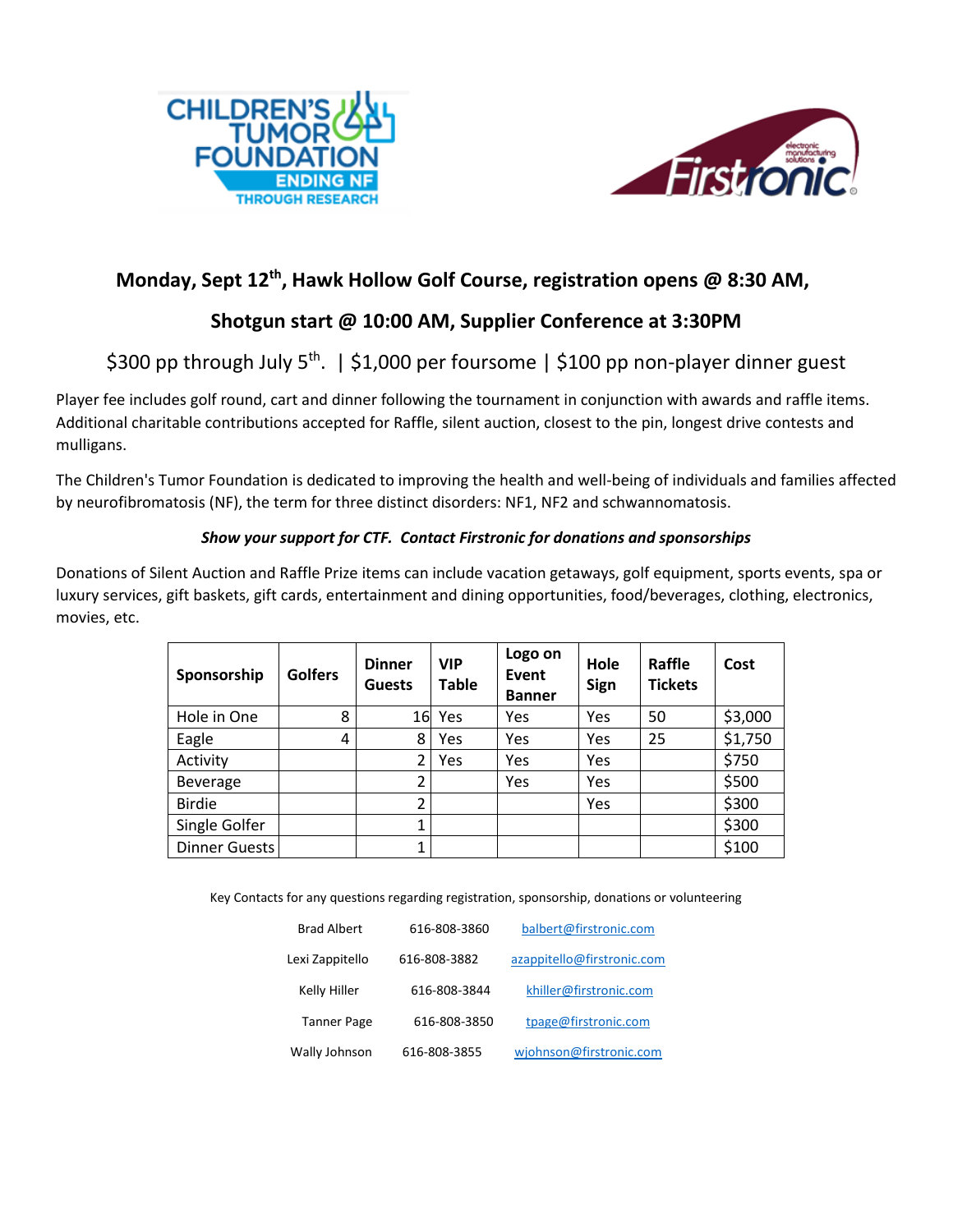



## **Monday, Sept 12th , Hawk Hollow Golf Course, registration opens @ 8:30 AM,**

## **Shotgun start @ 10:00 AM, Supplier Conference at 3:30PM**

\$300 pp through July 5<sup>th</sup>. | \$1,000 per foursome | \$100 pp non-player dinner guest

Player fee includes golf round, cart and dinner following the tournament in conjunction with awards and raffle items. Additional charitable contributions accepted for Raffle, silent auction, closest to the pin, longest drive contests and mulligans.

The Children's Tumor Foundation is dedicated to improving the health and well-being of individuals and families affected by neurofibromatosis (NF), the term for three distinct disorders: NF1, NF2 and schwannomatosis.

### *Show your support for CTF. Contact Firstronic for donations and sponsorships*

Donations of Silent Auction and Raffle Prize items can include vacation getaways, golf equipment, sports events, spa or luxury services, gift baskets, gift cards, entertainment and dining opportunities, food/beverages, clothing, electronics, movies, etc.

| Sponsorship     | <b>Golfers</b> | <b>Dinner</b><br><b>Guests</b> | <b>VIP</b><br><b>Table</b> | Logo on<br>Event<br><b>Banner</b> | Hole<br>Sign | Raffle<br><b>Tickets</b> | Cost    |
|-----------------|----------------|--------------------------------|----------------------------|-----------------------------------|--------------|--------------------------|---------|
| Hole in One     | 8              | 16                             | Yes                        | Yes                               | Yes          | 50                       | \$3,000 |
| Eagle           | 4              | 8                              | Yes                        | Yes                               | Yes          | 25                       | \$1,750 |
| Activity        |                | 2                              | Yes                        | Yes                               | Yes          |                          | \$750   |
| <b>Beverage</b> |                | $\overline{2}$                 |                            | Yes                               | Yes          |                          | \$500   |
| <b>Birdie</b>   |                | $\overline{2}$                 |                            |                                   | Yes          |                          | \$300   |
| Single Golfer   |                | 1                              |                            |                                   |              |                          | \$300   |
| Dinner Guests   |                |                                |                            |                                   |              |                          | \$100   |

Key Contacts for any questions regarding registration, sponsorship, donations or volunteering

| <b>Brad Albert</b> | 616-808-3860 | balbert@firstronic.com     |  |  |
|--------------------|--------------|----------------------------|--|--|
| Lexi Zappitello    | 616-808-3882 | azappitello@firstronic.com |  |  |
| Kelly Hiller       | 616-808-3844 | khiller@firstronic.com     |  |  |
| <b>Tanner Page</b> | 616-808-3850 | tpage@firstronic.com       |  |  |
| Wally Johnson      | 616-808-3855 | wjohnson@firstronic.com    |  |  |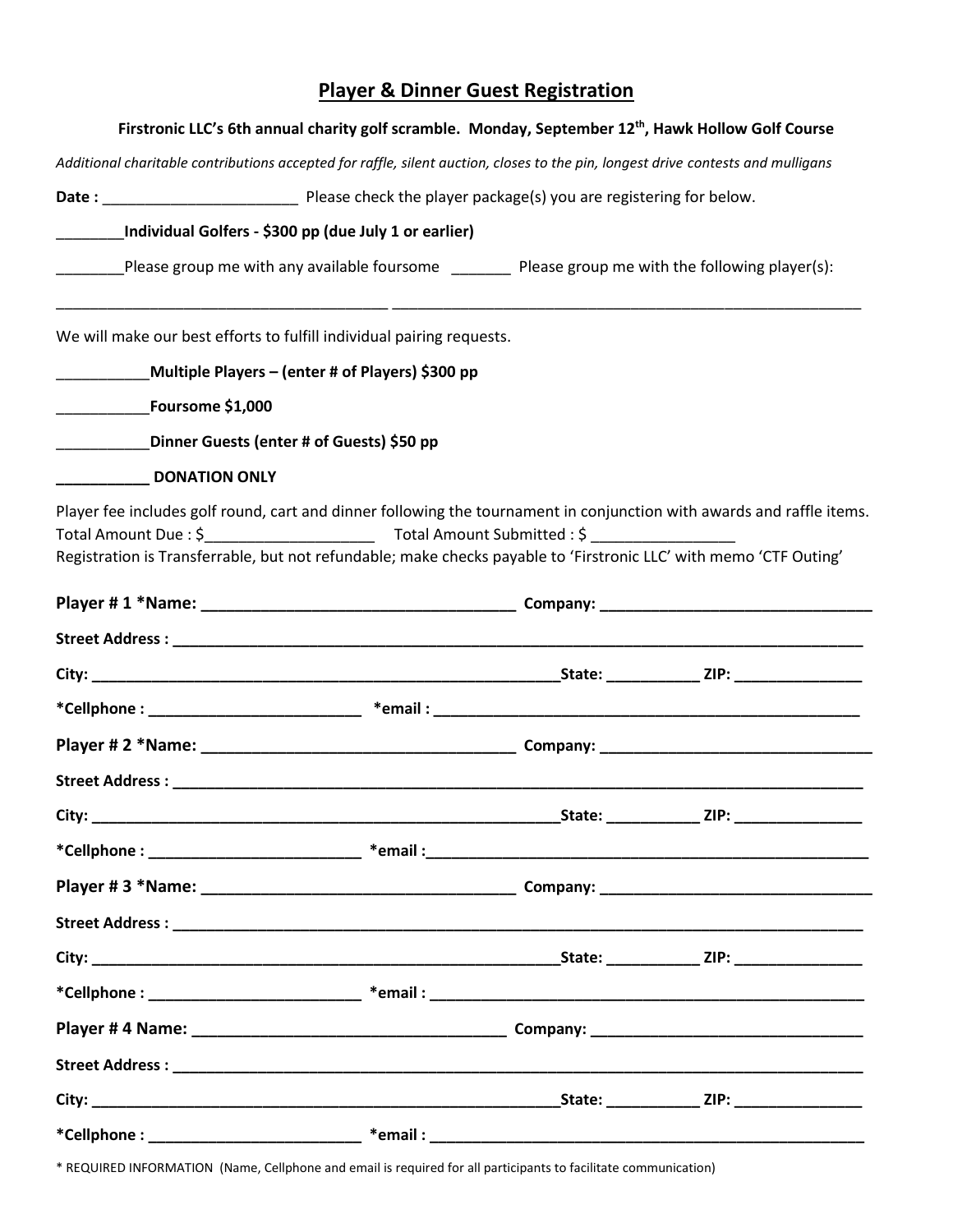# **Player & Dinner Guest Registration**

| Firstronic LLC's 6th annual charity golf scramble. Monday, September 12 <sup>th</sup> , Hawk Hollow Golf Course                                                                                                                                                                            |                                                  |  |  |  |  |  |
|--------------------------------------------------------------------------------------------------------------------------------------------------------------------------------------------------------------------------------------------------------------------------------------------|--------------------------------------------------|--|--|--|--|--|
| Additional charitable contributions accepted for raffle, silent auction, closes to the pin, longest drive contests and mulligans                                                                                                                                                           |                                                  |  |  |  |  |  |
|                                                                                                                                                                                                                                                                                            |                                                  |  |  |  |  |  |
| Individual Golfers - \$300 pp (due July 1 or earlier)                                                                                                                                                                                                                                      |                                                  |  |  |  |  |  |
| Please group me with any available foursome _________ Please group me with the following player(s):                                                                                                                                                                                        |                                                  |  |  |  |  |  |
| We will make our best efforts to fulfill individual pairing requests.                                                                                                                                                                                                                      |                                                  |  |  |  |  |  |
|                                                                                                                                                                                                                                                                                            | Multiple Players – (enter # of Players) \$300 pp |  |  |  |  |  |
| Foursome \$1,000                                                                                                                                                                                                                                                                           |                                                  |  |  |  |  |  |
| Dinner Guests (enter # of Guests) \$50 pp                                                                                                                                                                                                                                                  |                                                  |  |  |  |  |  |
| <b>DONATION ONLY</b><br>Player fee includes golf round, cart and dinner following the tournament in conjunction with awards and raffle items.<br>Total Amount Due: \$<br>Registration is Transferrable, but not refundable; make checks payable to 'Firstronic LLC' with memo 'CTF Outing' |                                                  |  |  |  |  |  |
|                                                                                                                                                                                                                                                                                            |                                                  |  |  |  |  |  |
|                                                                                                                                                                                                                                                                                            |                                                  |  |  |  |  |  |
|                                                                                                                                                                                                                                                                                            |                                                  |  |  |  |  |  |
|                                                                                                                                                                                                                                                                                            |                                                  |  |  |  |  |  |
|                                                                                                                                                                                                                                                                                            |                                                  |  |  |  |  |  |
|                                                                                                                                                                                                                                                                                            |                                                  |  |  |  |  |  |
|                                                                                                                                                                                                                                                                                            |                                                  |  |  |  |  |  |
|                                                                                                                                                                                                                                                                                            |                                                  |  |  |  |  |  |
|                                                                                                                                                                                                                                                                                            |                                                  |  |  |  |  |  |
|                                                                                                                                                                                                                                                                                            |                                                  |  |  |  |  |  |
|                                                                                                                                                                                                                                                                                            |                                                  |  |  |  |  |  |
|                                                                                                                                                                                                                                                                                            |                                                  |  |  |  |  |  |
|                                                                                                                                                                                                                                                                                            |                                                  |  |  |  |  |  |
|                                                                                                                                                                                                                                                                                            |                                                  |  |  |  |  |  |
|                                                                                                                                                                                                                                                                                            |                                                  |  |  |  |  |  |
|                                                                                                                                                                                                                                                                                            |                                                  |  |  |  |  |  |

\* REQUIRED INFORMATION (Name, Cellphone and email is required for all participants to facilitate communication)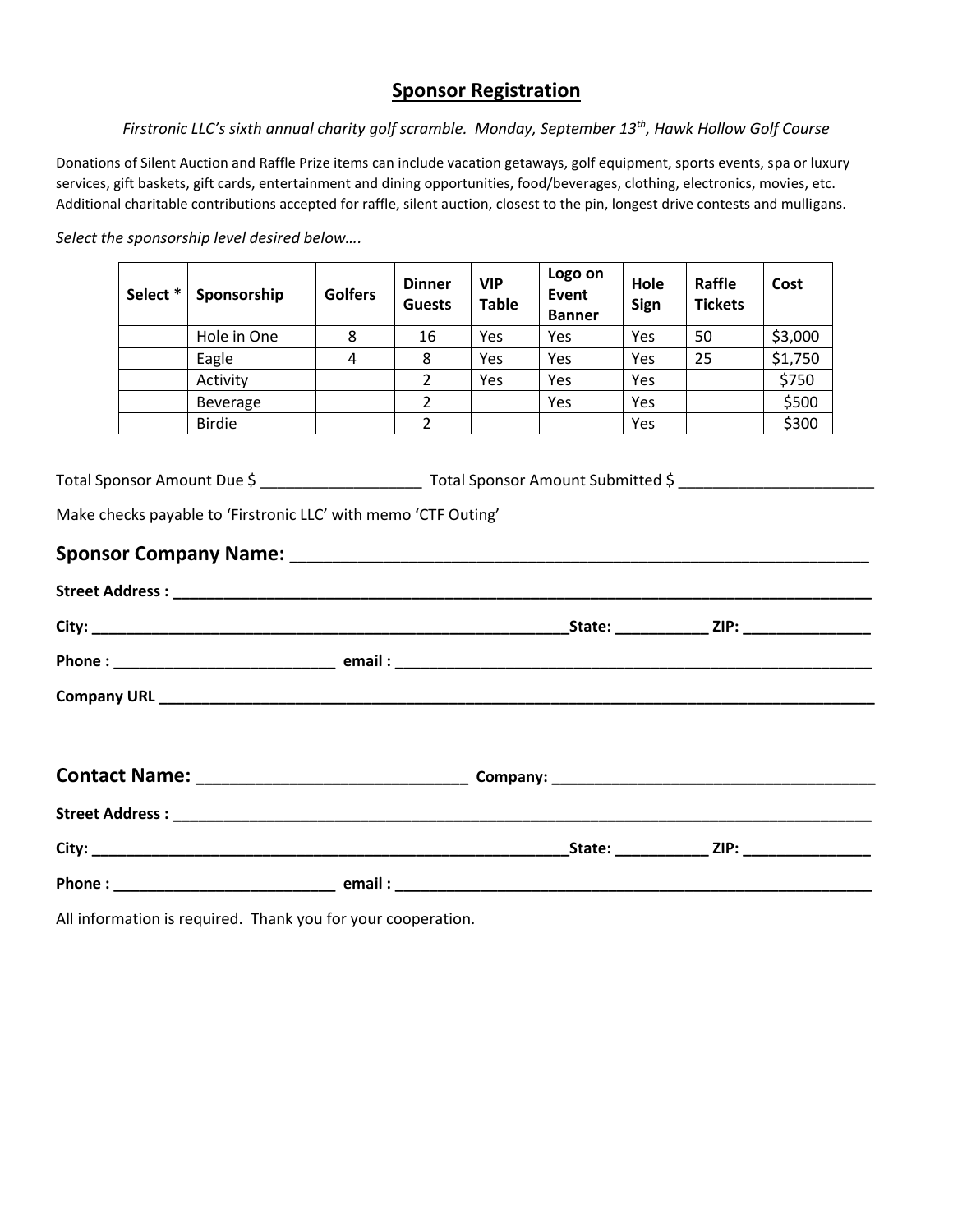### **Sponsor Registration**

*Firstronic LLC's sixth annual charity golf scramble. Monday, September 13th , Hawk Hollow Golf Course*

Donations of Silent Auction and Raffle Prize items can include vacation getaways, golf equipment, sports events, spa or luxury services, gift baskets, gift cards, entertainment and dining opportunities, food/beverages, clothing, electronics, movies, etc. Additional charitable contributions accepted for raffle, silent auction, closest to the pin, longest drive contests and mulligans.

*Select the sponsorship level desired below….*

| Select * | Sponsorship     | <b>Golfers</b> | <b>Dinner</b><br><b>Guests</b> | <b>VIP</b><br><b>Table</b> | Logo on<br>Event<br><b>Banner</b> | Hole<br>Sign | Raffle<br><b>Tickets</b> | Cost    |
|----------|-----------------|----------------|--------------------------------|----------------------------|-----------------------------------|--------------|--------------------------|---------|
|          | Hole in One     | 8              | 16                             | Yes                        | Yes                               | Yes          | 50                       | \$3,000 |
|          | Eagle           | 4              | 8                              | Yes                        | Yes                               | Yes          | 25                       | \$1,750 |
|          | Activity        |                | 2                              | Yes                        | Yes                               | Yes          |                          | \$750   |
|          | <b>Beverage</b> |                | 2                              |                            | Yes                               | Yes          |                          | \$500   |
|          | <b>Birdie</b>   |                | 2                              |                            |                                   | Yes          |                          | \$300   |

Total Sponsor Amount Due \$ \_\_\_\_\_\_\_\_\_\_\_\_\_\_\_\_\_\_\_ Total Sponsor Amount Submitted \$ \_\_\_\_\_\_\_\_\_\_\_\_\_\_\_\_\_\_\_\_\_\_\_

Make checks payable to 'Firstronic LLC' with memo 'CTF Outing'

### **Sponsor Company Name: \_\_\_\_\_\_\_\_\_\_\_\_\_\_\_\_\_\_\_\_\_\_\_\_\_\_\_\_\_\_\_\_\_\_\_\_\_\_\_\_\_\_\_\_\_\_\_\_\_\_\_\_\_\_\_\_\_\_\_\_\_\_\_\_\_\_\_\_**

|  |  | _State: ______________ ZIP: ___________________ |
|--|--|-------------------------------------------------|
|  |  |                                                 |
|  |  |                                                 |
|  |  |                                                 |
|  |  |                                                 |
|  |  |                                                 |
|  |  | _State: ______________ ZIP: ___________________ |
|  |  |                                                 |

All information is required. Thank you for your cooperation.